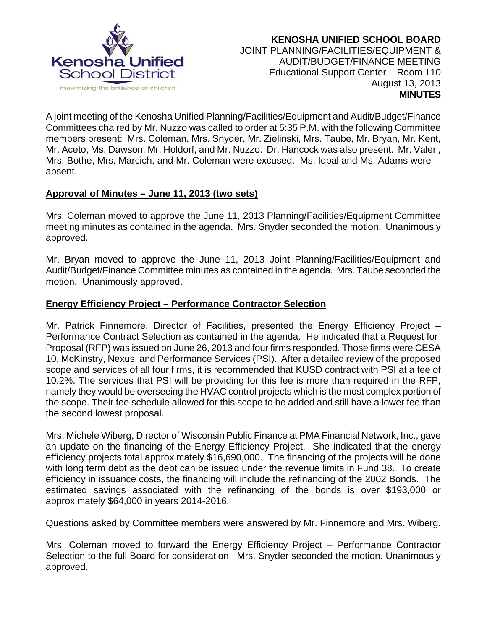

 **KENOSHA UNIFIED SCHOOL BOARD** JOINT PLANNING/FACILITIES/EQUIPMENT & AUDIT/BUDGET/FINANCE MEETING Educational Support Center – Room 110 August 13, 2013  **MINUTES**

A joint meeting of the Kenosha Unified Planning/Facilities/Equipment and Audit/Budget/Finance Committees chaired by Mr. Nuzzo was called to order at 5:35 P.M. with the following Committee members present: Mrs. Coleman, Mrs. Snyder, Mr. Zielinski, Mrs. Taube, Mr. Bryan, Mr. Kent, Mr. Aceto, Ms. Dawson, Mr. Holdorf, and Mr. Nuzzo. Dr. Hancock was also present. Mr. Valeri, Mrs. Bothe, Mrs. Marcich, and Mr. Coleman were excused. Ms. Iqbal and Ms. Adams were absent.

### **Approval of Minutes – June 11, 2013 (two sets)**

Mrs. Coleman moved to approve the June 11, 2013 Planning/Facilities/Equipment Committee meeting minutes as contained in the agenda. Mrs. Snyder seconded the motion. Unanimously approved.

Mr. Bryan moved to approve the June 11, 2013 Joint Planning/Facilities/Equipment and Audit/Budget/Finance Committee minutes as contained in the agenda. Mrs. Taube seconded the motion. Unanimously approved.

### **Energy Efficiency Project – Performance Contractor Selection**

Mr. Patrick Finnemore, Director of Facilities, presented the Energy Efficiency Project – Performance Contract Selection as contained in the agenda. He indicated that a Request for Proposal (RFP) was issued on June 26, 2013 and four firms responded. Those firms were CESA 10, McKinstry, Nexus, and Performance Services (PSI). After a detailed review of the proposed scope and services of all four firms, it is recommended that KUSD contract with PSI at a fee of 10.2%. The services that PSI will be providing for this fee is more than required in the RFP, namely they would be overseeing the HVAC control projects which is the most complex portion of the scope. Their fee schedule allowed for this scope to be added and still have a lower fee than the second lowest proposal.

Mrs. Michele Wiberg, Director of Wisconsin Public Finance at PMA Financial Network, Inc., gave an update on the financing of the Energy Efficiency Project. She indicated that the energy efficiency projects total approximately \$16,690,000. The financing of the projects will be done with long term debt as the debt can be issued under the revenue limits in Fund 38. To create efficiency in issuance costs, the financing will include the refinancing of the 2002 Bonds. The estimated savings associated with the refinancing of the bonds is over \$193,000 or approximately \$64,000 in years 2014-2016.

Questions asked by Committee members were answered by Mr. Finnemore and Mrs. Wiberg.

Mrs. Coleman moved to forward the Energy Efficiency Project – Performance Contractor Selection to the full Board for consideration. Mrs. Snyder seconded the motion. Unanimously approved.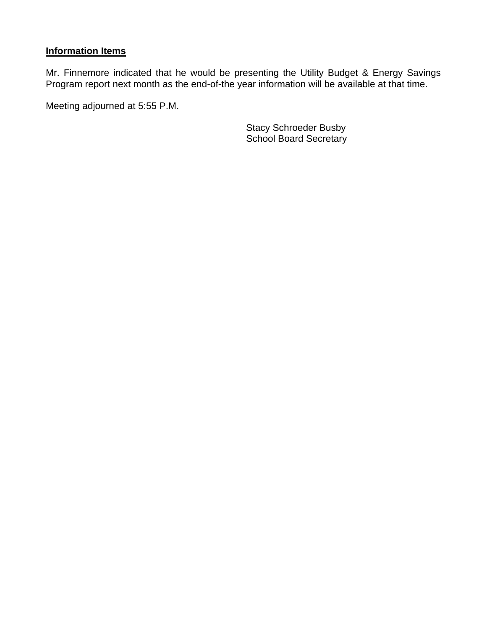# **Information Items**

Mr. Finnemore indicated that he would be presenting the Utility Budget & Energy Savings Program report next month as the end-of-the year information will be available at that time.

Meeting adjourned at 5:55 P.M.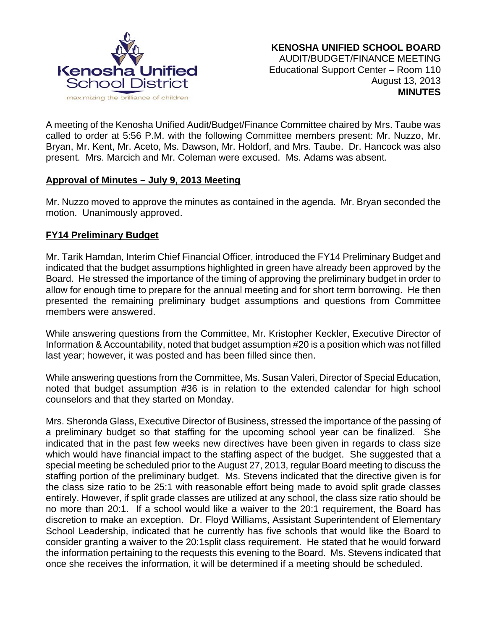

A meeting of the Kenosha Unified Audit/Budget/Finance Committee chaired by Mrs. Taube was called to order at 5:56 P.M. with the following Committee members present: Mr. Nuzzo, Mr. Bryan, Mr. Kent, Mr. Aceto, Ms. Dawson, Mr. Holdorf, and Mrs. Taube. Dr. Hancock was also present. Mrs. Marcich and Mr. Coleman were excused. Ms. Adams was absent.

### **Approval of Minutes – July 9, 2013 Meeting**

Mr. Nuzzo moved to approve the minutes as contained in the agenda. Mr. Bryan seconded the motion. Unanimously approved.

## **FY14 Preliminary Budget**

Mr. Tarik Hamdan, Interim Chief Financial Officer, introduced the FY14 Preliminary Budget and indicated that the budget assumptions highlighted in green have already been approved by the Board. He stressed the importance of the timing of approving the preliminary budget in order to allow for enough time to prepare for the annual meeting and for short term borrowing. He then presented the remaining preliminary budget assumptions and questions from Committee members were answered.

While answering questions from the Committee, Mr. Kristopher Keckler, Executive Director of Information & Accountability, noted that budget assumption #20 is a position which was not filled last year; however, it was posted and has been filled since then.

While answering questions from the Committee, Ms. Susan Valeri, Director of Special Education, noted that budget assumption #36 is in relation to the extended calendar for high school counselors and that they started on Monday.

Mrs. Sheronda Glass, Executive Director of Business, stressed the importance of the passing of a preliminary budget so that staffing for the upcoming school year can be finalized. She indicated that in the past few weeks new directives have been given in regards to class size which would have financial impact to the staffing aspect of the budget. She suggested that a special meeting be scheduled prior to the August 27, 2013, regular Board meeting to discuss the staffing portion of the preliminary budget. Ms. Stevens indicated that the directive given is for the class size ratio to be 25:1 with reasonable effort being made to avoid split grade classes entirely. However, if split grade classes are utilized at any school, the class size ratio should be no more than 20:1. If a school would like a waiver to the 20:1 requirement, the Board has discretion to make an exception. Dr. Floyd Williams, Assistant Superintendent of Elementary School Leadership, indicated that he currently has five schools that would like the Board to consider granting a waiver to the 20:1split class requirement. He stated that he would forward the information pertaining to the requests this evening to the Board. Ms. Stevens indicated that once she receives the information, it will be determined if a meeting should be scheduled.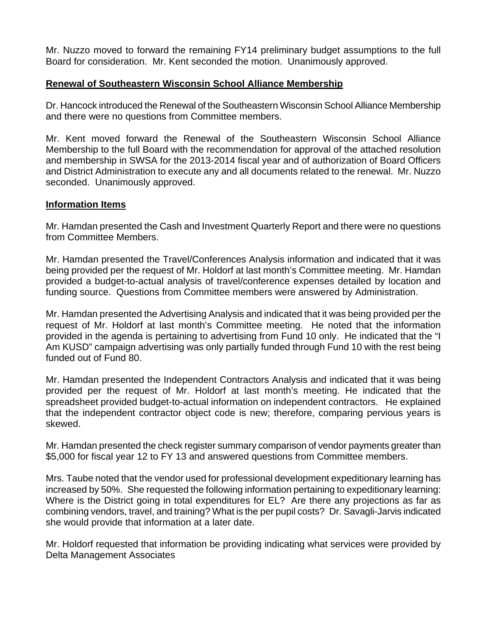Mr. Nuzzo moved to forward the remaining FY14 preliminary budget assumptions to the full Board for consideration. Mr. Kent seconded the motion. Unanimously approved.

### **Renewal of Southeastern Wisconsin School Alliance Membership**

Dr. Hancock introduced the Renewal of the Southeastern Wisconsin School Alliance Membership and there were no questions from Committee members.

Mr. Kent moved forward the Renewal of the Southeastern Wisconsin School Alliance Membership to the full Board with the recommendation for approval of the attached resolution and membership in SWSA for the 2013-2014 fiscal year and of authorization of Board Officers and District Administration to execute any and all documents related to the renewal. Mr. Nuzzo seconded. Unanimously approved.

#### **Information Items**

Mr. Hamdan presented the Cash and Investment Quarterly Report and there were no questions from Committee Members.

Mr. Hamdan presented the Travel/Conferences Analysis information and indicated that it was being provided per the request of Mr. Holdorf at last month's Committee meeting. Mr. Hamdan provided a budget-to-actual analysis of travel/conference expenses detailed by location and funding source. Questions from Committee members were answered by Administration.

Mr. Hamdan presented the Advertising Analysis and indicated that it was being provided per the request of Mr. Holdorf at last month's Committee meeting. He noted that the information provided in the agenda is pertaining to advertising from Fund 10 only. He indicated that the "I Am KUSD" campaign advertising was only partially funded through Fund 10 with the rest being funded out of Fund 80.

Mr. Hamdan presented the Independent Contractors Analysis and indicated that it was being provided per the request of Mr. Holdorf at last month's meeting. He indicated that the spreadsheet provided budget-to-actual information on independent contractors. He explained that the independent contractor object code is new; therefore, comparing pervious years is skewed.

Mr. Hamdan presented the check register summary comparison of vendor payments greater than \$5,000 for fiscal year 12 to FY 13 and answered questions from Committee members.

Mrs. Taube noted that the vendor used for professional development expeditionary learning has increased by 50%. She requested the following information pertaining to expeditionary learning: Where is the District going in total expenditures for EL? Are there any projections as far as combining vendors, travel, and training? What is the per pupil costs? Dr. Savagli-Jarvis indicated she would provide that information at a later date.

Mr. Holdorf requested that information be providing indicating what services were provided by Delta Management Associates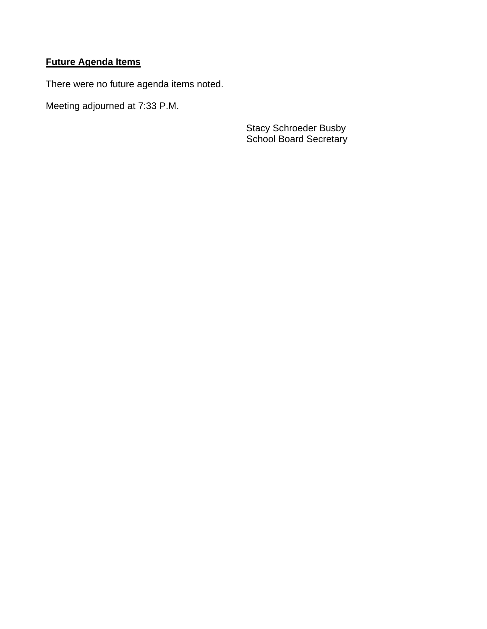# **Future Agenda Items**

There were no future agenda items noted.

Meeting adjourned at 7:33 P.M.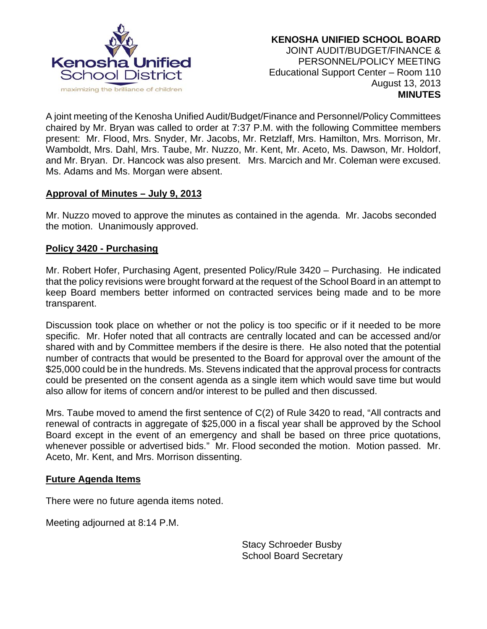

A joint meeting of the Kenosha Unified Audit/Budget/Finance and Personnel/Policy Committees chaired by Mr. Bryan was called to order at 7:37 P.M. with the following Committee members present: Mr. Flood, Mrs. Snyder, Mr. Jacobs, Mr. Retzlaff, Mrs. Hamilton, Mrs. Morrison, Mr. Wamboldt, Mrs. Dahl, Mrs. Taube, Mr. Nuzzo, Mr. Kent, Mr. Aceto, Ms. Dawson, Mr. Holdorf, and Mr. Bryan. Dr. Hancock was also present. Mrs. Marcich and Mr. Coleman were excused. Ms. Adams and Ms. Morgan were absent.

### **Approval of Minutes – July 9, 2013**

Mr. Nuzzo moved to approve the minutes as contained in the agenda. Mr. Jacobs seconded the motion. Unanimously approved.

### **Policy 3420 - Purchasing**

Mr. Robert Hofer, Purchasing Agent, presented Policy/Rule 3420 – Purchasing. He indicated that the policy revisions were brought forward at the request of the School Board in an attempt to keep Board members better informed on contracted services being made and to be more transparent.

Discussion took place on whether or not the policy is too specific or if it needed to be more specific. Mr. Hofer noted that all contracts are centrally located and can be accessed and/or shared with and by Committee members if the desire is there. He also noted that the potential number of contracts that would be presented to the Board for approval over the amount of the \$25,000 could be in the hundreds. Ms. Stevens indicated that the approval process for contracts could be presented on the consent agenda as a single item which would save time but would also allow for items of concern and/or interest to be pulled and then discussed.

Mrs. Taube moved to amend the first sentence of C(2) of Rule 3420 to read, "All contracts and renewal of contracts in aggregate of \$25,000 in a fiscal year shall be approved by the School Board except in the event of an emergency and shall be based on three price quotations, whenever possible or advertised bids." Mr. Flood seconded the motion. Motion passed. Mr. Aceto, Mr. Kent, and Mrs. Morrison dissenting.

### **Future Agenda Items**

There were no future agenda items noted.

Meeting adjourned at 8:14 P.M.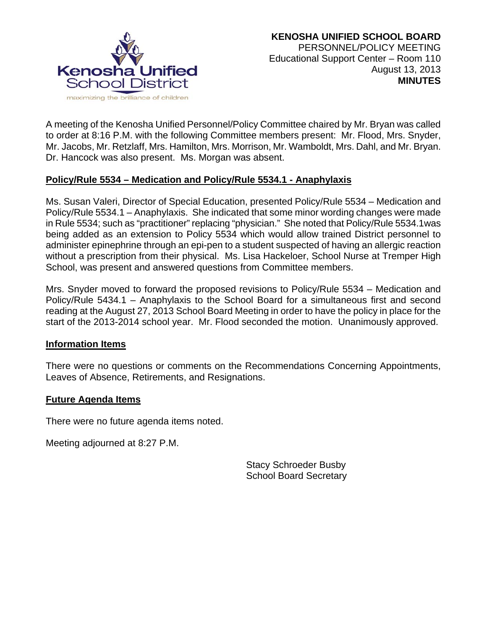

A meeting of the Kenosha Unified Personnel/Policy Committee chaired by Mr. Bryan was called to order at 8:16 P.M. with the following Committee members present: Mr. Flood, Mrs. Snyder, Mr. Jacobs, Mr. Retzlaff, Mrs. Hamilton, Mrs. Morrison, Mr. Wamboldt, Mrs. Dahl, and Mr. Bryan. Dr. Hancock was also present. Ms. Morgan was absent.

### **Policy/Rule 5534 – Medication and Policy/Rule 5534.1 - Anaphylaxis**

Ms. Susan Valeri, Director of Special Education, presented Policy/Rule 5534 – Medication and Policy/Rule 5534.1 – Anaphylaxis. She indicated that some minor wording changes were made in Rule 5534; such as "practitioner" replacing "physician." She noted that Policy/Rule 5534.1was being added as an extension to Policy 5534 which would allow trained District personnel to administer epinephrine through an epi-pen to a student suspected of having an allergic reaction without a prescription from their physical. Ms. Lisa Hackeloer, School Nurse at Tremper High School, was present and answered questions from Committee members.

Mrs. Snyder moved to forward the proposed revisions to Policy/Rule 5534 – Medication and Policy/Rule 5434.1 – Anaphylaxis to the School Board for a simultaneous first and second reading at the August 27, 2013 School Board Meeting in order to have the policy in place for the start of the 2013-2014 school year. Mr. Flood seconded the motion. Unanimously approved.

#### **Information Items**

There were no questions or comments on the Recommendations Concerning Appointments, Leaves of Absence, Retirements, and Resignations.

### **Future Agenda Items**

There were no future agenda items noted.

Meeting adjourned at 8:27 P.M.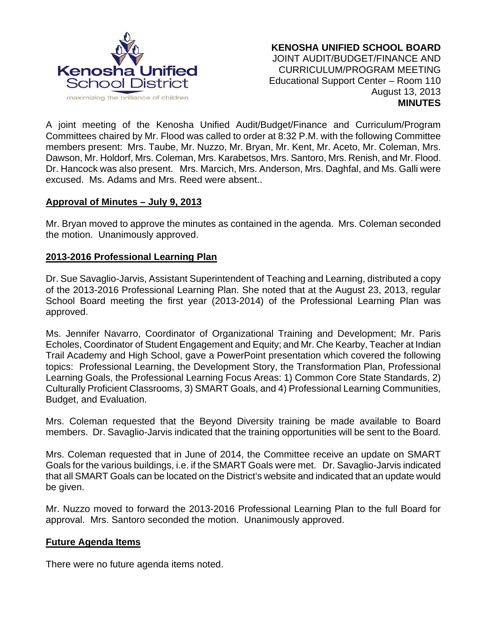

A joint meeting of the Kenosha Unified Audit/Budget/Finance and Curriculum/Program Committees chaired by Mr. Flood was called to order at 8:32 P.M. with the following Committee members present: Mrs. Taube, Mr. Nuzzo, Mr. Bryan, Mr. Kent, Mr. Aceto, Mr. Coleman, Mrs. Dawson, Mr. Holdorf, Mrs. Coleman, Mrs. Karabetsos, Mrs. Santoro, Mrs. Renish, and Mr. Flood. Dr. Hancock was also present. Mrs. Marcich, Mrs. Anderson, Mrs. Daghfal, and Ms. Galli were excused. Ms. Adams and Mrs. Reed were absent..

### **Approval of Minutes – July 9, 2013**

Mr. Bryan moved to approve the minutes as contained in the agenda. Mrs. Coleman seconded the motion. Unanimously approved.

### **2013-2016 Professional Learning Plan**

Dr. Sue Savaglio-Jarvis, Assistant Superintendent of Teaching and Learning, distributed a copy of the 2013-2016 Professional Learning Plan. She noted that at the August 23, 2013, regular School Board meeting the first year (2013-2014) of the Professional Learning Plan was approved.

Ms. Jennifer Navarro, Coordinator of Organizational Training and Development; Mr. Paris Echoles, Coordinator of Student Engagement and Equity; and Mr. Che Kearby, Teacher at Indian Trail Academy and High School, gave a PowerPoint presentation which covered the following topics: Professional Learning, the Development Story, the Transformation Plan, Professional Learning Goals, the Professional Learning Focus Areas: 1) Common Core State Standards, 2) Culturally Proficient Classrooms, 3) SMART Goals, and 4) Professional Learning Communities, Budget, and Evaluation.

Mrs. Coleman requested that the Beyond Diversity training be made available to Board members. Dr. Savaglio-Jarvis indicated that the training opportunities will be sent to the Board.

Mrs. Coleman requested that in June of 2014, the Committee receive an update on SMART Goals for the various buildings, i.e. if the SMART Goals were met. Dr. Savaglio-Jarvis indicated that all SMART Goals can be located on the District's website and indicated that an update would be given.

Mr. Nuzzo moved to forward the 2013-2016 Professional Learning Plan to the full Board for approval. Mrs. Santoro seconded the motion. Unanimously approved.

### **Future Agenda Items**

There were no future agenda items noted.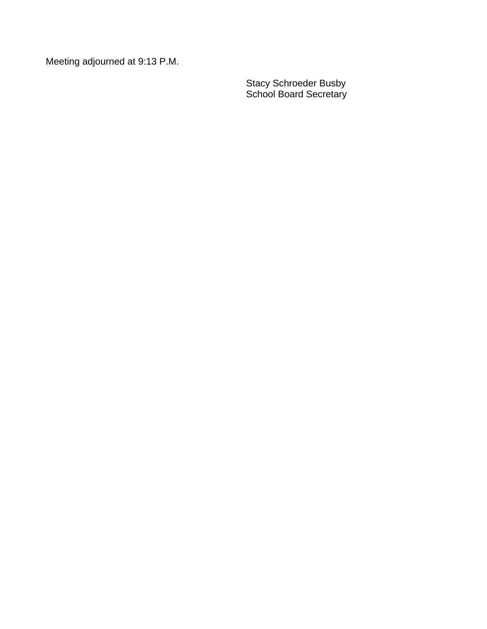Meeting adjourned at 9:13 P.M.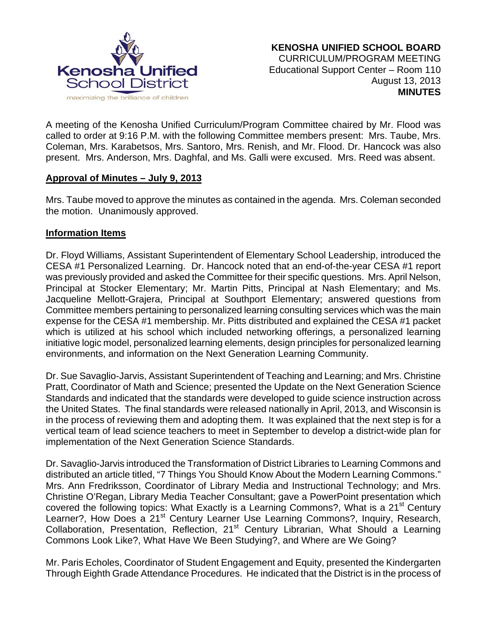

A meeting of the Kenosha Unified Curriculum/Program Committee chaired by Mr. Flood was called to order at 9:16 P.M. with the following Committee members present: Mrs. Taube, Mrs. Coleman, Mrs. Karabetsos, Mrs. Santoro, Mrs. Renish, and Mr. Flood. Dr. Hancock was also present. Mrs. Anderson, Mrs. Daghfal, and Ms. Galli were excused. Mrs. Reed was absent.

### **Approval of Minutes – July 9, 2013**

Mrs. Taube moved to approve the minutes as contained in the agenda. Mrs. Coleman seconded the motion. Unanimously approved.

### **Information Items**

Dr. Floyd Williams, Assistant Superintendent of Elementary School Leadership, introduced the CESA #1 Personalized Learning. Dr. Hancock noted that an end-of-the-year CESA #1 report was previously provided and asked the Committee for their specific questions. Mrs. April Nelson, Principal at Stocker Elementary; Mr. Martin Pitts, Principal at Nash Elementary; and Ms. Jacqueline Mellott-Grajera, Principal at Southport Elementary; answered questions from Committee members pertaining to personalized learning consulting services which was the main expense for the CESA #1 membership. Mr. Pitts distributed and explained the CESA #1 packet which is utilized at his school which included networking offerings, a personalized learning initiative logic model, personalized learning elements, design principles for personalized learning environments, and information on the Next Generation Learning Community.

Dr. Sue Savaglio-Jarvis, Assistant Superintendent of Teaching and Learning; and Mrs. Christine Pratt, Coordinator of Math and Science; presented the Update on the Next Generation Science Standards and indicated that the standards were developed to guide science instruction across the United States. The final standards were released nationally in April, 2013, and Wisconsin is in the process of reviewing them and adopting them. It was explained that the next step is for a vertical team of lead science teachers to meet in September to develop a district-wide plan for implementation of the Next Generation Science Standards.

Dr. Savaglio-Jarvis introduced the Transformation of District Libraries to Learning Commons and distributed an article titled, "7 Things You Should Know About the Modern Learning Commons." Mrs. Ann Fredriksson, Coordinator of Library Media and Instructional Technology; and Mrs. Christine O'Regan, Library Media Teacher Consultant; gave a PowerPoint presentation which covered the following topics: What Exactly is a Learning Commons?, What is a 21<sup>st</sup> Century Learner?, How Does a 21<sup>st</sup> Century Learner Use Learning Commons?, Inquiry, Research, Collaboration, Presentation, Reflection, 21<sup>st</sup> Century Librarian, What Should a Learning Commons Look Like?, What Have We Been Studying?, and Where are We Going?

Mr. Paris Echoles, Coordinator of Student Engagement and Equity, presented the Kindergarten Through Eighth Grade Attendance Procedures. He indicated that the District is in the process of